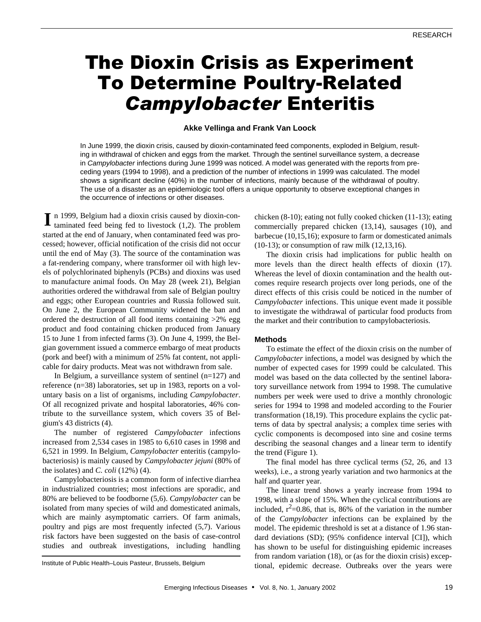# The Dioxin Crisis as Experiment To Determine Poultry-Related *Campylobacter* Enteritis

## **Akke Vellinga and Frank Van Loock**

In June 1999, the dioxin crisis, caused by dioxin-contaminated feed components, exploded in Belgium, resulting in withdrawal of chicken and eggs from the market. Through the sentinel surveillance system, a decrease in *Campylobacter* infections during June 1999 was noticed. A model was generated with the reports from preceding years (1994 to 1998), and a prediction of the number of infections in 1999 was calculated. The model shows a significant decline (40%) in the number of infections, mainly because of the withdrawal of poultry. The use of a disaster as an epidemiologic tool offers a unique opportunity to observe exceptional changes in the occurrence of infections or other diseases.

In 1999, Belgium had a dioxin crisis caused by dioxin-contaminated feed being fed to livestock (1,2). The problem taminated feed being fed to livestock (1,2). The problem started at the end of January, when contaminated feed was processed; however, official notification of the crisis did not occur until the end of May (3). The source of the contamination was a fat-rendering company, where transformer oil with high levels of polychlorinated biphenyls (PCBs) and dioxins was used to manufacture animal foods. On May 28 (week 21), Belgian authorities ordered the withdrawal from sale of Belgian poultry and eggs; other European countries and Russia followed suit. On June 2, the European Community widened the ban and ordered the destruction of all food items containing >2% egg product and food containing chicken produced from January 15 to June 1 from infected farms (3). On June 4, 1999, the Belgian government issued a commerce embargo of meat products (pork and beef) with a minimum of 25% fat content, not applicable for dairy products. Meat was not withdrawn from sale.

In Belgium, a surveillance system of sentinel (n=127) and reference (n=38) laboratories, set up in 1983, reports on a voluntary basis on a list of organisms, including *Campylobacter*. Of all recognized private and hospital laboratories, 46% contribute to the surveillance system, which covers 35 of Belgium's 43 districts (4).

The number of registered *Campylobacter* infections increased from 2,534 cases in 1985 to 6,610 cases in 1998 and 6,521 in 1999. In Belgium, *Campylobacter* enteritis (campylobacteriosis) is mainly caused by *Campylobacter jejuni* (80% of the isolates) and *C. coli* (12%) (4).

Campylobacteriosis is a common form of infective diarrhea in industrialized countries; most infections are sporadic, and 80% are believed to be foodborne (5,6). *Campylobacter* can be isolated from many species of wild and domesticated animals, which are mainly asymptomatic carriers. Of farm animals, poultry and pigs are most frequently infected (5,7). Various risk factors have been suggested on the basis of case-control studies and outbreak investigations, including handling

chicken (8-10); eating not fully cooked chicken (11-13); eating commercially prepared chicken (13,14), sausages (10), and barbecue (10,15,16); exposure to farm or domesticated animals (10-13); or consumption of raw milk (12,13,16).

The dioxin crisis had implications for public health on more levels than the direct health effects of dioxin (17). Whereas the level of dioxin contamination and the health outcomes require research projects over long periods, one of the direct effects of this crisis could be noticed in the number of *Campylobacter* infections. This unique event made it possible to investigate the withdrawal of particular food products from the market and their contribution to campylobacteriosis.

## **Methods**

To estimate the effect of the dioxin crisis on the number of *Campylobacter* infections, a model was designed by which the number of expected cases for 1999 could be calculated. This model was based on the data collected by the sentinel laboratory surveillance network from 1994 to 1998. The cumulative numbers per week were used to drive a monthly chronologic series for 1994 to 1998 and modeled according to the Fourier transformation (18,19). This procedure explains the cyclic patterns of data by spectral analysis; a complex time series with cyclic components is decomposed into sine and cosine terms describing the seasonal changes and a linear term to identify the trend (Figure 1).

The final model has three cyclical terms (52, 26, and 13 weeks), i.e., a strong yearly variation and two harmonics at the half and quarter year.

The linear trend shows a yearly increase from 1994 to 1998, with a slope of 15%. When the cyclical contributions are included,  $r^2$ =0.86, that is, 86% of the variation in the number of the *Campylobacter* infections can be explained by the model. The epidemic threshold is set at a distance of 1.96 standard deviations (SD); (95% confidence interval [CI]), which has shown to be useful for distinguishing epidemic increases from random variation (18), or (as for the dioxin crisis) exceptional, epidemic decrease. Outbreaks over the years were

Institute of Public Health–Louis Pasteur, Brussels, Belgium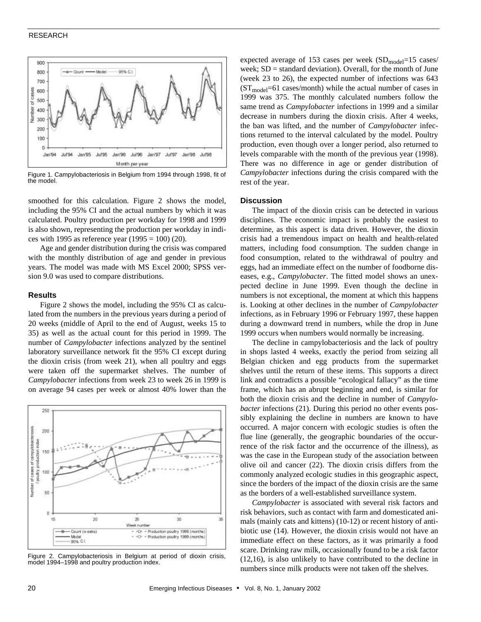## RESEARCH



Figure 1. Campylobacteriosis in Belgium from 1994 through 1998, fit of the model.

smoothed for this calculation. Figure 2 shows the model, including the 95% CI and the actual numbers by which it was calculated. Poultry production per workday for 1998 and 1999 is also shown, representing the production per workday in indices with 1995 as reference year  $(1995 = 100)$  (20).

Age and gender distribution during the crisis was compared with the monthly distribution of age and gender in previous years. The model was made with MS Excel 2000; SPSS version 9.0 was used to compare distributions.

#### **Results**

Figure 2 shows the model, including the 95% CI as calculated from the numbers in the previous years during a period of 20 weeks (middle of April to the end of August, weeks 15 to 35) as well as the actual count for this period in 1999. The number of *Campylobacter* infections analyzed by the sentinel laboratory surveillance network fit the 95% CI except during the dioxin crisis (from week 21), when all poultry and eggs were taken off the supermarket shelves. The number of *Campylobacter* infections from week 23 to week 26 in 1999 is on average 94 cases per week or almost 40% lower than the



Figure 2. Campylobacteriosis in Belgium at period of dioxin crisis, model 1994–1998 and poultry production index.

expected average of 153 cases per week  $(SD_{model}=15$  cases/ week;  $SD =$  standard deviation). Overall, for the month of June (week 23 to 26), the expected number of infections was 643  $(ST_{model}=61 \text{ cases/month})$  while the actual number of cases in 1999 was 375. The monthly calculated numbers follow the same trend as *Campylobacter* infections in 1999 and a similar decrease in numbers during the dioxin crisis. After 4 weeks, the ban was lifted, and the number of *Campylobacter* infections returned to the interval calculated by the model. Poultry production, even though over a longer period, also returned to levels comparable with the month of the previous year (1998). There was no difference in age or gender distribution of *Campylobacter* infections during the crisis compared with the rest of the year.

## **Discussion**

The impact of the dioxin crisis can be detected in various disciplines. The economic impact is probably the easiest to determine, as this aspect is data driven. However, the dioxin crisis had a tremendous impact on health and health-related matters, including food consumption. The sudden change in food consumption, related to the withdrawal of poultry and eggs, had an immediate effect on the number of foodborne diseases, e.g., *Campylobacter*. The fitted model shows an unexpected decline in June 1999. Even though the decline in numbers is not exceptional, the moment at which this happens is. Looking at other declines in the number of *Campylobacter* infections, as in February 1996 or February 1997, these happen during a downward trend in numbers, while the drop in June 1999 occurs when numbers would normally be increasing.

The decline in campylobacteriosis and the lack of poultry in shops lasted 4 weeks, exactly the period from seizing all Belgian chicken and egg products from the supermarket shelves until the return of these items. This supports a direct link and contradicts a possible "ecological fallacy" as the time frame, which has an abrupt beginning and end, is similar for both the dioxin crisis and the decline in number of *Campylobacter* infections (21). During this period no other events possibly explaining the decline in numbers are known to have occurred. A major concern with ecologic studies is often the flue line (generally, the geographic boundaries of the occurrence of the risk factor and the occurrence of the illness), as was the case in the European study of the association between olive oil and cancer (22). The dioxin crisis differs from the commonly analyzed ecologic studies in this geographic aspect, since the borders of the impact of the dioxin crisis are the same as the borders of a well-established surveillance system.

*Campylobacter* is associated with several risk factors and risk behaviors, such as contact with farm and domesticated animals (mainly cats and kittens) (10-12) or recent history of antibiotic use (14). However, the dioxin crisis would not have an immediate effect on these factors, as it was primarily a food scare. Drinking raw milk, occasionally found to be a risk factor (12,16), is also unlikely to have contributed to the decline in numbers since milk products were not taken off the shelves.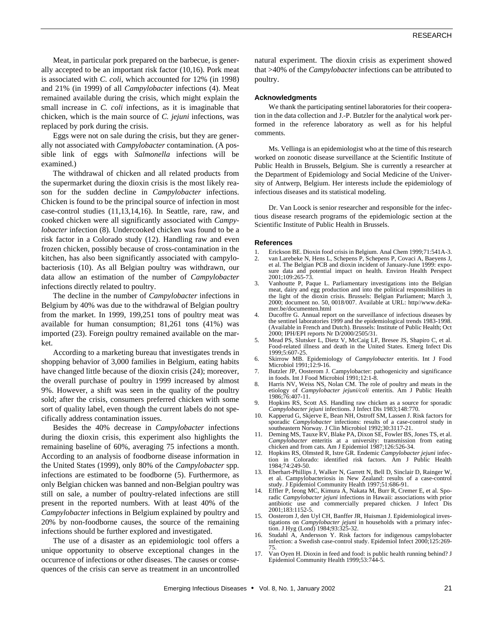Meat, in particular pork prepared on the barbecue, is generally accepted to be an important risk factor (10,16). Pork meat is associated with *C. coli*, which accounted for 12% (in 1998) and 21% (in 1999) of all *Campylobacter* infections (4). Meat remained available during the crisis, which might explain the small increase in *C. coli* infections, as it is imaginable that chicken, which is the main source of *C. jejuni* infections, was replaced by pork during the crisis.

Eggs were not on sale during the crisis, but they are generally not associated with *Campylobacter* contamination. (A possible link of eggs with *Salmonella* infections will be examined.)

The withdrawal of chicken and all related products from the supermarket during the dioxin crisis is the most likely reason for the sudden decline in *Campylobacter* infections. Chicken is found to be the principal source of infection in most case-control studies (11,13,14,16). In Seattle, rare, raw, and cooked chicken were all significantly associated with *Campylobacter* infection (8). Undercooked chicken was found to be a risk factor in a Colorado study (12). Handling raw and even frozen chicken, possibly because of cross-contamination in the kitchen, has also been significantly associated with campylobacteriosis (10). As all Belgian poultry was withdrawn, our data allow an estimation of the number of *Campylobacter* infections directly related to poultry.

The decline in the number of *Campylobacter* infections in Belgium by 40% was due to the withdrawal of Belgian poultry from the market. In 1999, 199,251 tons of poultry meat was available for human consumption; 81,261 tons (41%) was imported (23). Foreign poultry remained available on the market.

According to a marketing bureau that investigates trends in shopping behavior of 3,000 families in Belgium, eating habits have changed little because of the dioxin crisis (24); moreover, the overall purchase of poultry in 1999 increased by almost 9%. However, a shift was seen in the quality of the poultry sold; after the crisis, consumers preferred chicken with some sort of quality label, even though the current labels do not specifically address contamination issues.

Besides the 40% decrease in *Campylobacter* infections during the dioxin crisis, this experiment also highlights the remaining baseline of 60%, averaging 75 infections a month. According to an analysis of foodborne disease information in the United States (1999), only 80% of the *Campylobacter* spp. infections are estimated to be foodborne (5). Furthermore, as only Belgian chicken was banned and non-Belgian poultry was still on sale, a number of poultry-related infections are still present in the reported numbers. With at least 40% of the *Campylobacter* infections in Belgium explained by poultry and 20% by non-foodborne causes, the source of the remaining infections should be further explored and investigated.

The use of a disaster as an epidemiologic tool offers a unique opportunity to observe exceptional changes in the occurrence of infections or other diseases. The causes or consequences of the crisis can serve as treatment in an uncontrolled natural experiment. The dioxin crisis as experiment showed that >40% of the *Campylobacter* infections can be attributed to poultry.

#### **Acknowledgments**

We thank the participating sentinel laboratories for their cooperation in the data collection and J.-P. Butzler for the analytical work performed in the reference laboratory as well as for his helpful comments.

Ms. Vellinga is an epidemiologist who at the time of this research worked on zoonotic disease surveillance at the Scientific Institute of Public Health in Brussels, Belgium. She is currently a researcher at the Department of Epidemiology and Social Medicine of the University of Antwerp, Belgium. Her interests include the epidemiology of infectious diseases and its statistical modeling.

Dr. Van Loock is senior researcher and responsible for the infectious disease research programs of the epidemiologic section at the Scientific Institute of Public Health in Brussels.

#### **References**

- 1. Erickson BE. Dioxin food crisis in Belgium. Anal Chem 1999;71:541A-3.
- 2. van Larebeke N, Hens L, Schepens P, Schepens P, Covaci A, Baeyens J, et al. The Belgian PCB and dioxin incident of January-June 1999: exposure data and potential impact on health. Environ Health Perspect 2001;109:265-73.
- 3. Vanhoutte P, Paque L. Parliamentary investigations into the Belgian meat, dairy and egg production and into the political responsibilities in the light of the dioxin crisis. Brussels: Belgian Parliament; March 3, 2000; document no. 50, 0018/007. Available at URL: http//www.deKamer.be/documenten.html
- 4. Ducoffre G. Annual report on the surveillance of infectious diseases by the sentinel laboratories 1999 and the epidemiological trends 1983-1998. (Available in French and Dutch). Brussels: Institute of Public Health; Oct 2000; IPH/EPI reports Nr D/2000/2505/31.
- 5. Mead PS, Slutsker L, Dietz V, McCaig LF, Bresee JS, Shapiro C, et al. Food-related illness and death in the United States. Emerg Infect Dis 1999;5:607-25.
- 6. Skirrow MB. Epidemiology of *Campylobacter* enteritis. Int J Food Microbiol 1991;12:9-16.
- 7. Butzler JP, Oosterom J. Campylobacter: pathogenicity and significance in foods. Int J Food Microbiol 1991;12:1-8.
- Harris NV, Weiss NS, Nolan CM. The role of poultry and meats in the etiology of *Campylobacter jejuni/coli* enteritis. Am J Public Health 1986;76:407-11.
- 9. Hopkins RS, Scott AS. Handling raw chicken as a source for sporadic *Campylobacter jejuni* infections. J Infect Dis 1983;148:770.
- 10. Kapperud G, Skjerve E, Bean NH, Ostroff SM, Lassen J. Risk factors for sporadic *Campylobacter* infections: results of a case-control study in southeastern Norway. J Clin Microbiol 1992;30:3117-21.
- 11. Deming MS, Tauxe RV, Blake PA, Dixon SE, Fowler BS, Jones TS, et al. *Campylobacter* enteritis at a university: transmission from eating chicken and from cats. Am J Epidemiol 1987;126:526-34.
- 12. Hopkins RS, Olmsted R, Istre GR. Endemic *Campylobacter jejuni* infection in Colorado: identified risk factors. Am J Public Health 1984;74:249-50.
- 13. Eberhart-Phillips J, Walker N, Garrett N, Bell D, Sinclair D, Rainger W, et al. Campylobacteriosis in New Zealand: results of a case-control study. J Epidemiol Community Health 1997;51:686-91.
- Effler P, Ieong MC, Kimura A, Nakata M, Burr R, Cremer E, et al. Sporadic *Campylobacter jejuni* infections in Hawaii: associations with prior antibiotic use and commercially prepared chicken. J Infect Dis 2001;183:1152-5.
- Oosterom J, den Uyl CH, Banffer JR, Huisman J. Epidemiological investigations on *Campylobacter jejuni* in households with a primary infection. J Hyg (Lond) 1984;93:325-32.
- Studahl A, Andersson Y. Risk factors for indigenous campylobacter infection: a Swedish case-control study. Epidemiol Infect 2000;125:269- 75.
- 17. Van Oyen H. Dioxin in feed and food: is public health running behind? J Epidemiol Community Health 1999;53:744-5.